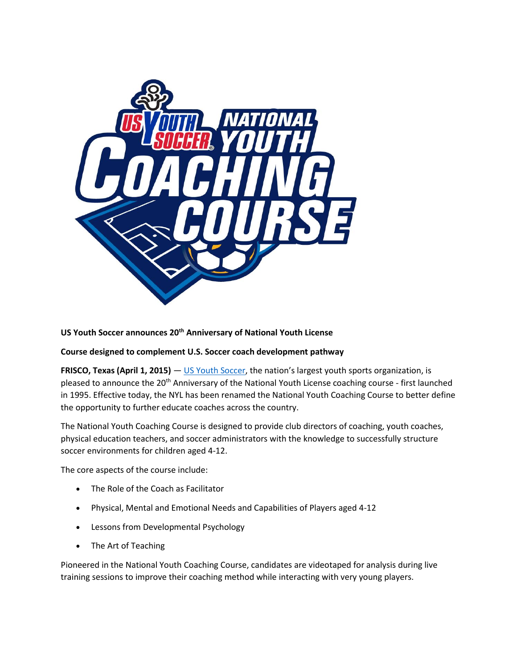

## **US Youth Soccer announces 20th Anniversary of National Youth License**

## **Course designed to complement U.S. Soccer coach development pathway**

**FRISCO, Texas (April 1, 2015)** — [US Youth Soccer,](http://www.usyouthsoccer.org/) the nation's largest youth sports organization, is pleased to announce the 20th Anniversary of the National Youth License coaching course - first launched in 1995. Effective today, the NYL has been renamed the National Youth Coaching Course to better define the opportunity to further educate coaches across the country.

The National Youth Coaching Course is designed to provide club directors of coaching, youth coaches, physical education teachers, and soccer administrators with the knowledge to successfully structure soccer environments for children aged 4-12.

The core aspects of the course include:

- The Role of the Coach as Facilitator
- Physical, Mental and Emotional Needs and Capabilities of Players aged 4-12
- **•** Lessons from Developmental Psychology
- The Art of Teaching

Pioneered in the National Youth Coaching Course, candidates are videotaped for analysis during live training sessions to improve their coaching method while interacting with very young players.